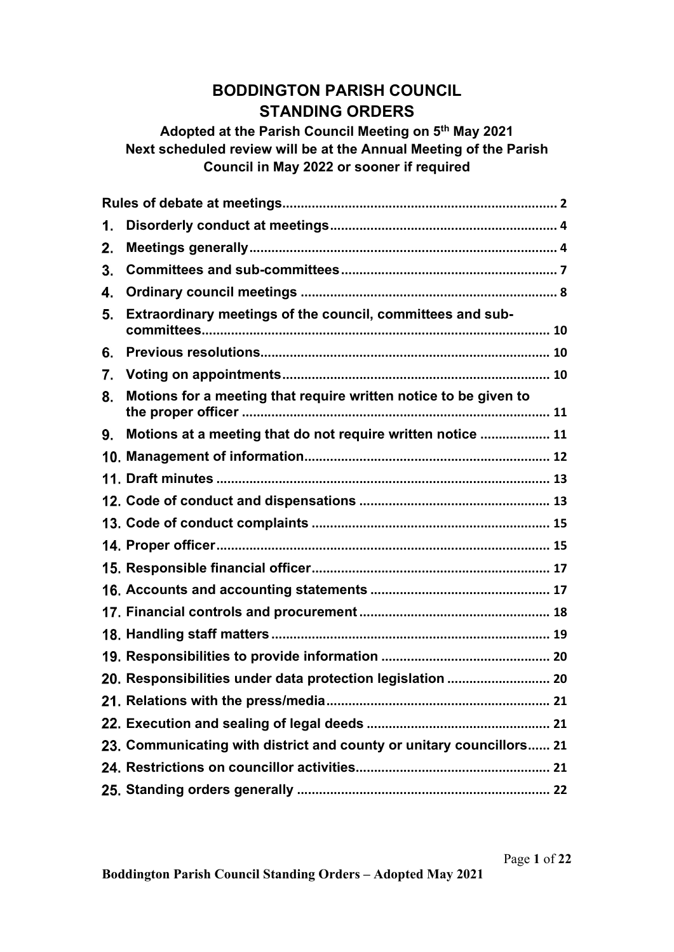# BODDINGTON PARISH COUNCIL STANDING ORDERS

# Adopted at the Parish Council Meeting on 5<sup>th</sup> May 2021 Next scheduled review will be at the Annual Meeting of the Parish Council in May 2022 or sooner if required

| 1. |                                                                      |
|----|----------------------------------------------------------------------|
| 2. |                                                                      |
| 3. |                                                                      |
| 4. |                                                                      |
| 5. | Extraordinary meetings of the council, committees and sub-           |
| 6. |                                                                      |
| 7. |                                                                      |
| 8. | Motions for a meeting that require written notice to be given to     |
| 9. | Motions at a meeting that do not require written notice  11          |
|    |                                                                      |
|    |                                                                      |
|    |                                                                      |
|    |                                                                      |
|    |                                                                      |
|    |                                                                      |
|    |                                                                      |
|    |                                                                      |
|    |                                                                      |
|    |                                                                      |
|    | 20. Responsibilities under data protection legislation  20           |
|    | 21                                                                   |
|    |                                                                      |
|    | 23. Communicating with district and county or unitary councillors 21 |
|    |                                                                      |
|    |                                                                      |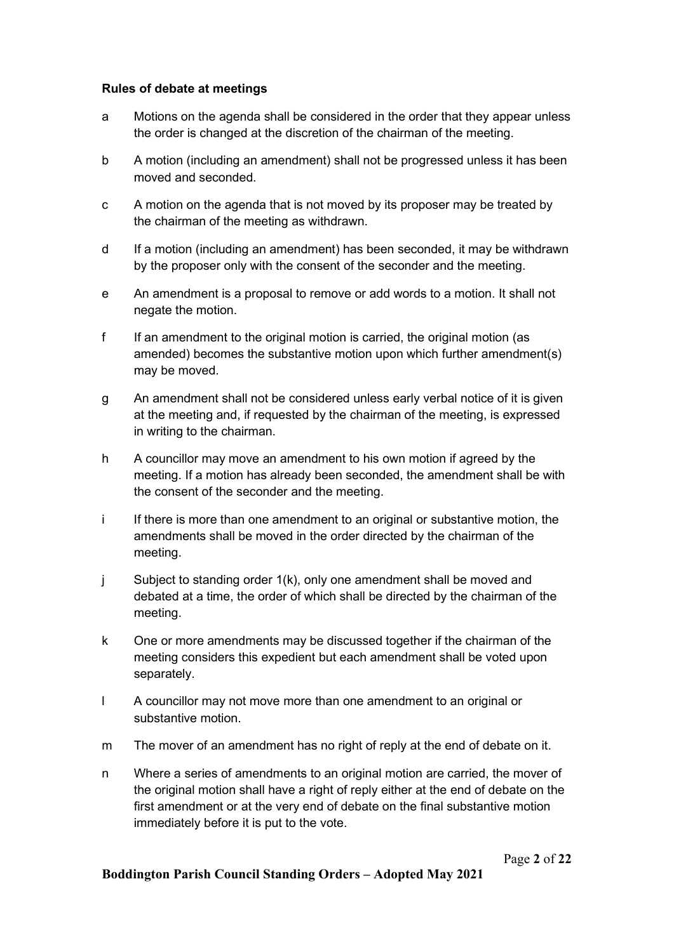#### Rules of debate at meetings

- a Motions on the agenda shall be considered in the order that they appear unless the order is changed at the discretion of the chairman of the meeting.
- b A motion (including an amendment) shall not be progressed unless it has been moved and seconded.
- c A motion on the agenda that is not moved by its proposer may be treated by the chairman of the meeting as withdrawn.
- d If a motion (including an amendment) has been seconded, it may be withdrawn by the proposer only with the consent of the seconder and the meeting.
- e An amendment is a proposal to remove or add words to a motion. It shall not negate the motion.
- f If an amendment to the original motion is carried, the original motion (as amended) becomes the substantive motion upon which further amendment(s) may be moved.
- g An amendment shall not be considered unless early verbal notice of it is given at the meeting and, if requested by the chairman of the meeting, is expressed in writing to the chairman.
- h A councillor may move an amendment to his own motion if agreed by the meeting. If a motion has already been seconded, the amendment shall be with the consent of the seconder and the meeting.
- i If there is more than one amendment to an original or substantive motion, the amendments shall be moved in the order directed by the chairman of the meeting.
- j Subject to standing order 1(k), only one amendment shall be moved and debated at a time, the order of which shall be directed by the chairman of the meeting.
- k One or more amendments may be discussed together if the chairman of the meeting considers this expedient but each amendment shall be voted upon separately.
- l A councillor may not move more than one amendment to an original or substantive motion.
- m The mover of an amendment has no right of reply at the end of debate on it.
- n Where a series of amendments to an original motion are carried, the mover of the original motion shall have a right of reply either at the end of debate on the first amendment or at the very end of debate on the final substantive motion immediately before it is put to the vote.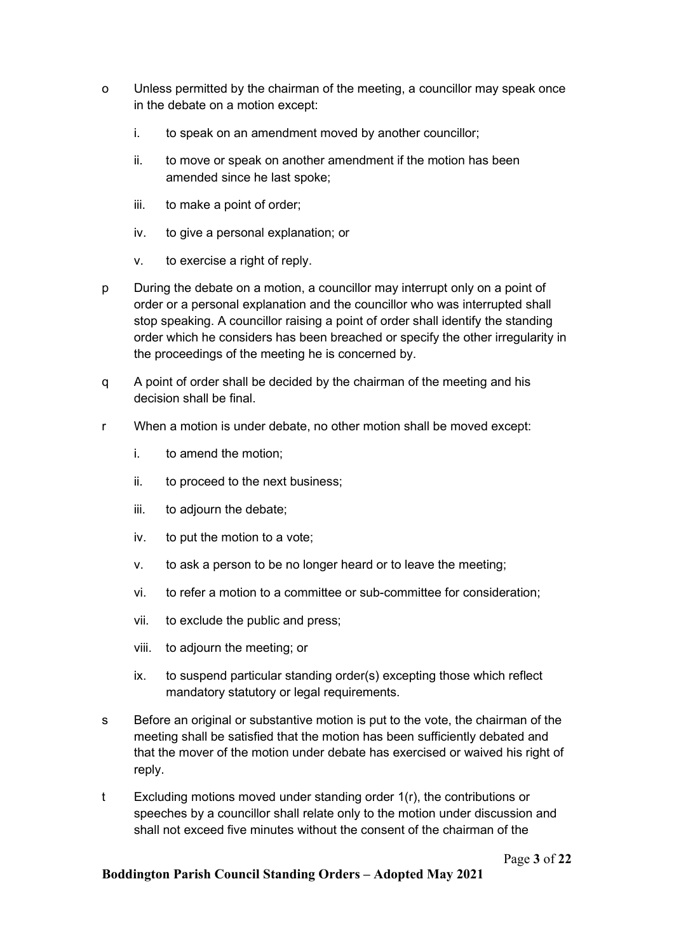- o Unless permitted by the chairman of the meeting, a councillor may speak once in the debate on a motion except:
	- i. to speak on an amendment moved by another councillor;
	- ii. to move or speak on another amendment if the motion has been amended since he last spoke;
	- iii. to make a point of order;
	- iv. to give a personal explanation; or
	- v. to exercise a right of reply.
- p During the debate on a motion, a councillor may interrupt only on a point of order or a personal explanation and the councillor who was interrupted shall stop speaking. A councillor raising a point of order shall identify the standing order which he considers has been breached or specify the other irregularity in the proceedings of the meeting he is concerned by.
- q A point of order shall be decided by the chairman of the meeting and his decision shall be final.
- r When a motion is under debate, no other motion shall be moved except:
	- i. to amend the motion;
	- ii. to proceed to the next business;
	- iii. to adjourn the debate;
	- iv. to put the motion to a vote;
	- v. to ask a person to be no longer heard or to leave the meeting;
	- vi. to refer a motion to a committee or sub-committee for consideration;
	- vii. to exclude the public and press;
	- viii. to adjourn the meeting; or
	- ix. to suspend particular standing order(s) excepting those which reflect mandatory statutory or legal requirements.
- s Before an original or substantive motion is put to the vote, the chairman of the meeting shall be satisfied that the motion has been sufficiently debated and that the mover of the motion under debate has exercised or waived his right of reply.
- t Excluding motions moved under standing order 1(r), the contributions or speeches by a councillor shall relate only to the motion under discussion and shall not exceed five minutes without the consent of the chairman of the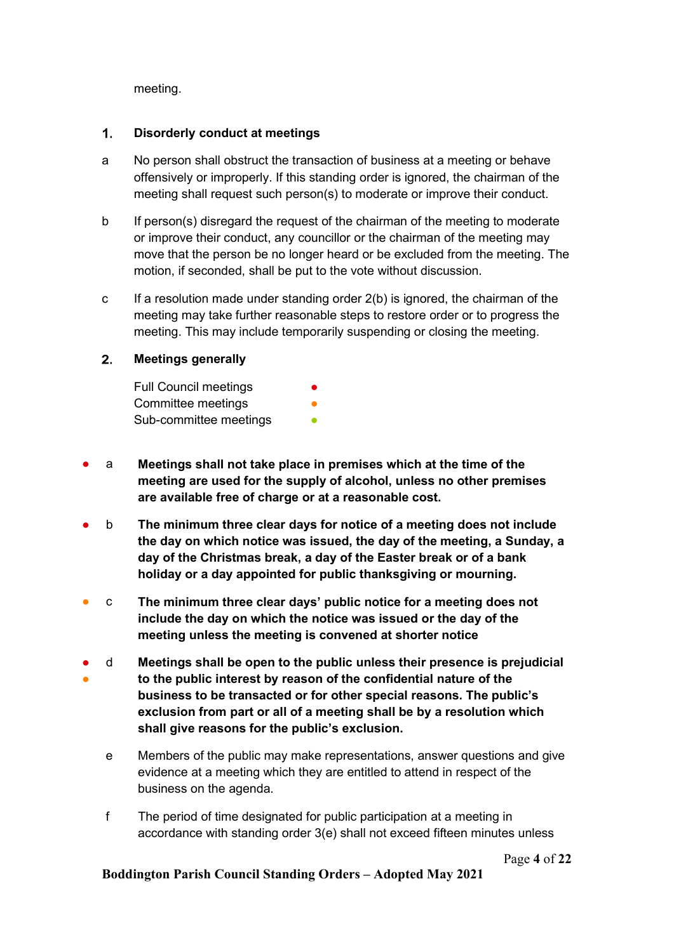meeting.

## 1. Disorderly conduct at meetings

- a No person shall obstruct the transaction of business at a meeting or behave offensively or improperly. If this standing order is ignored, the chairman of the meeting shall request such person(s) to moderate or improve their conduct.
- b If person(s) disregard the request of the chairman of the meeting to moderate or improve their conduct, any councillor or the chairman of the meeting may move that the person be no longer heard or be excluded from the meeting. The motion, if seconded, shall be put to the vote without discussion.
- c If a resolution made under standing order 2(b) is ignored, the chairman of the meeting may take further reasonable steps to restore order or to progress the meeting. This may include temporarily suspending or closing the meeting.

## 2. Meetings generally

**Full Council meetings** Committee meetings Sub-committee meetings

- a Meetings shall not take place in premises which at the time of the meeting are used for the supply of alcohol, unless no other premises are available free of charge or at a reasonable cost.
- b The minimum three clear days for notice of a meeting does not include the day on which notice was issued, the day of the meeting, a Sunday, a day of the Christmas break, a day of the Easter break or of a bank holiday or a day appointed for public thanksgiving or mourning.
- c The minimum three clear days' public notice for a meeting does not include the day on which the notice was issued or the day of the meeting unless the meeting is convened at shorter notice
- ● d Meetings shall be open to the public unless their presence is prejudicial to the public interest by reason of the confidential nature of the business to be transacted or for other special reasons. The public's exclusion from part or all of a meeting shall be by a resolution which shall give reasons for the public's exclusion.
	- e Members of the public may make representations, answer questions and give evidence at a meeting which they are entitled to attend in respect of the business on the agenda.
	- f The period of time designated for public participation at a meeting in accordance with standing order 3(e) shall not exceed fifteen minutes unless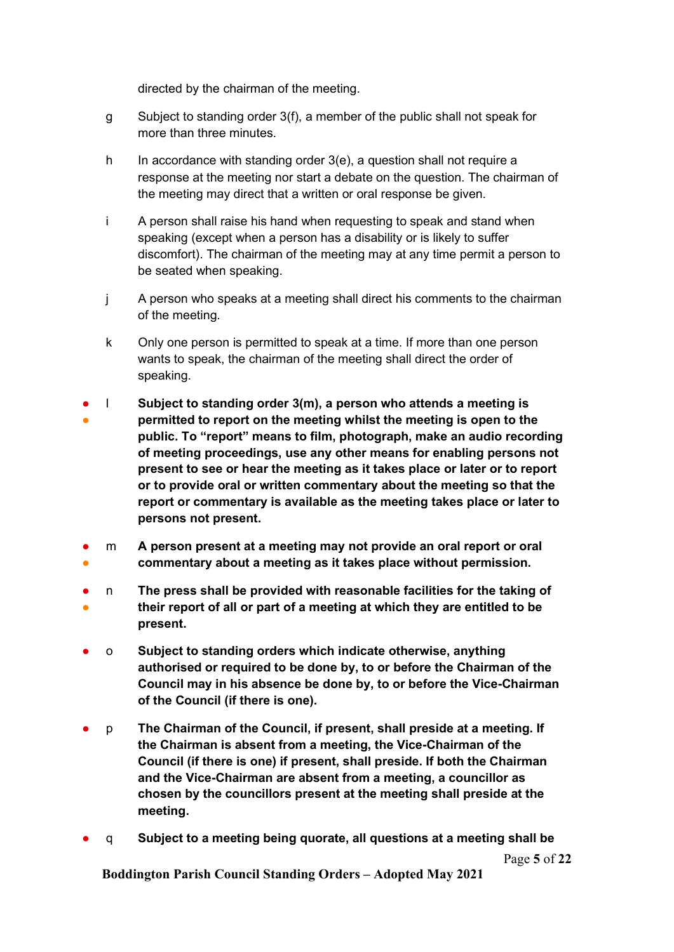directed by the chairman of the meeting.

- g Subject to standing order 3(f), a member of the public shall not speak for more than three minutes.
- h In accordance with standing order 3(e), a question shall not require a response at the meeting nor start a debate on the question. The chairman of the meeting may direct that a written or oral response be given.
- i A person shall raise his hand when requesting to speak and stand when speaking (except when a person has a disability or is likely to suffer discomfort). The chairman of the meeting may at any time permit a person to be seated when speaking.
- j A person who speaks at a meeting shall direct his comments to the chairman of the meeting.
- k Only one person is permitted to speak at a time. If more than one person wants to speak, the chairman of the meeting shall direct the order of speaking.
- ● l Subject to standing order 3(m), a person who attends a meeting is permitted to report on the meeting whilst the meeting is open to the public. To "report" means to film, photograph, make an audio recording of meeting proceedings, use any other means for enabling persons not present to see or hear the meeting as it takes place or later or to report or to provide oral or written commentary about the meeting so that the report or commentary is available as the meeting takes place or later to persons not present.
- ● m A person present at a meeting may not provide an oral report or oral commentary about a meeting as it takes place without permission.
- ● n The press shall be provided with reasonable facilities for the taking of their report of all or part of a meeting at which they are entitled to be present.
- o Subject to standing orders which indicate otherwise, anything authorised or required to be done by, to or before the Chairman of the Council may in his absence be done by, to or before the Vice-Chairman of the Council (if there is one).
- p The Chairman of the Council, if present, shall preside at a meeting. If the Chairman is absent from a meeting, the Vice-Chairman of the Council (if there is one) if present, shall preside. If both the Chairman and the Vice-Chairman are absent from a meeting, a councillor as chosen by the councillors present at the meeting shall preside at the meeting.
- q Subject to a meeting being quorate, all questions at a meeting shall be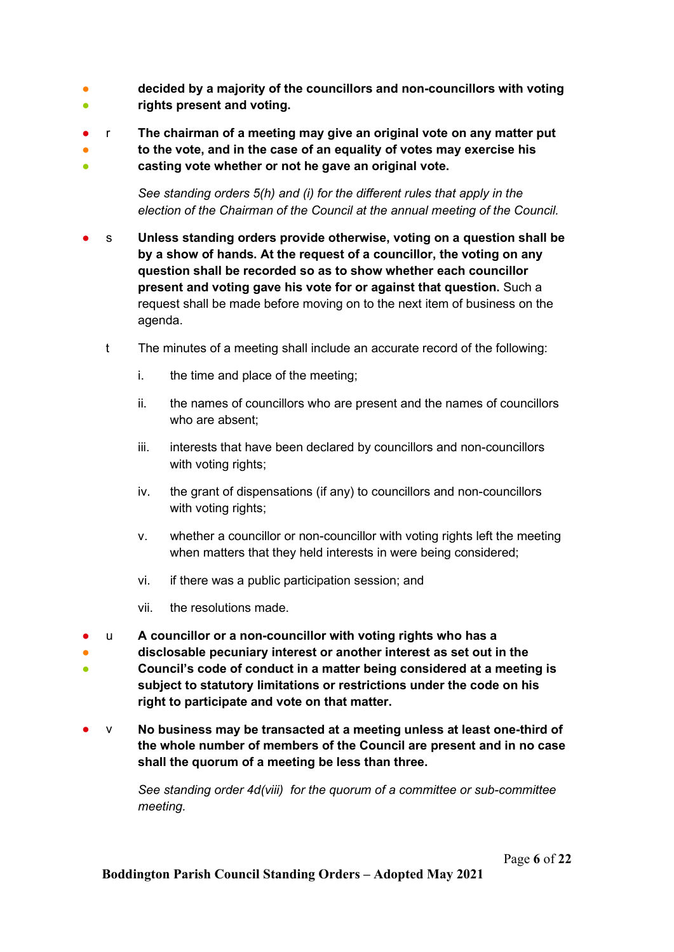- 。<br>● decided by a majority of the councillors and non-councillors with voting rights present and voting.
- r The chairman of a meeting may give an original vote on any matter put
- ● to the vote, and in the case of an equality of votes may exercise his casting vote whether or not he gave an original vote.

See standing orders 5(h) and (i) for the different rules that apply in the election of the Chairman of the Council at the annual meeting of the Council.

- s Unless standing orders provide otherwise, voting on a question shall be by a show of hands. At the request of a councillor, the voting on any question shall be recorded so as to show whether each councillor present and voting gave his vote for or against that question. Such a request shall be made before moving on to the next item of business on the agenda.
	- t The minutes of a meeting shall include an accurate record of the following:
		- i. the time and place of the meeting;
		- ii. the names of councillors who are present and the names of councillors who are absent;
		- iii. interests that have been declared by councillors and non-councillors with voting rights;
		- iv. the grant of dispensations (if any) to councillors and non-councillors with voting rights;
		- v. whether a councillor or non-councillor with voting rights left the meeting when matters that they held interests in were being considered;
		- vi. if there was a public participation session; and
		- vii. the resolutions made.
- u A councillor or a non-councillor with voting rights who has a
- ● disclosable pecuniary interest or another interest as set out in the Council's code of conduct in a matter being considered at a meeting is subject to statutory limitations or restrictions under the code on his right to participate and vote on that matter.
- $\vee$  No business may be transacted at a meeting unless at least one-third of the whole number of members of the Council are present and in no case shall the quorum of a meeting be less than three.

See standing order 4d(viii) for the quorum of a committee or sub-committee meeting.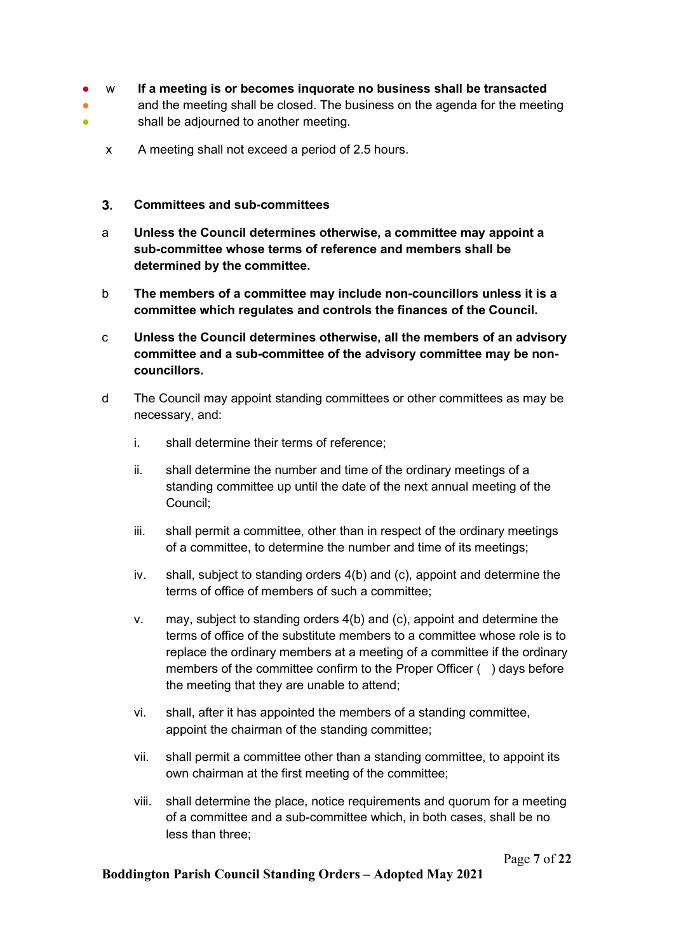- w If a meeting is or becomes inquorate no business shall be transacted
- ● and the meeting shall be closed. The business on the agenda for the meeting shall be adjourned to another meeting.
	- x A meeting shall not exceed a period of 2.5 hours.

#### Committees and sub-committees

- a Unless the Council determines otherwise, a committee may appoint a sub-committee whose terms of reference and members shall be determined by the committee.
- b The members of a committee may include non-councillors unless it is a committee which regulates and controls the finances of the Council.
- c Unless the Council determines otherwise, all the members of an advisory committee and a sub-committee of the advisory committee may be noncouncillors.
- d The Council may appoint standing committees or other committees as may be necessary, and:
	- i. shall determine their terms of reference;
	- ii. shall determine the number and time of the ordinary meetings of a standing committee up until the date of the next annual meeting of the Council;
	- iii. shall permit a committee, other than in respect of the ordinary meetings of a committee, to determine the number and time of its meetings;
	- iv. shall, subject to standing orders 4(b) and (c), appoint and determine the terms of office of members of such a committee;
	- v. may, subject to standing orders 4(b) and (c), appoint and determine the terms of office of the substitute members to a committee whose role is to replace the ordinary members at a meeting of a committee if the ordinary members of the committee confirm to the Proper Officer ( ) days before the meeting that they are unable to attend;
	- vi. shall, after it has appointed the members of a standing committee, appoint the chairman of the standing committee;
	- vii. shall permit a committee other than a standing committee, to appoint its own chairman at the first meeting of the committee;
	- viii. shall determine the place, notice requirements and quorum for a meeting of a committee and a sub-committee which, in both cases, shall be no less than three;

Page 7 of 22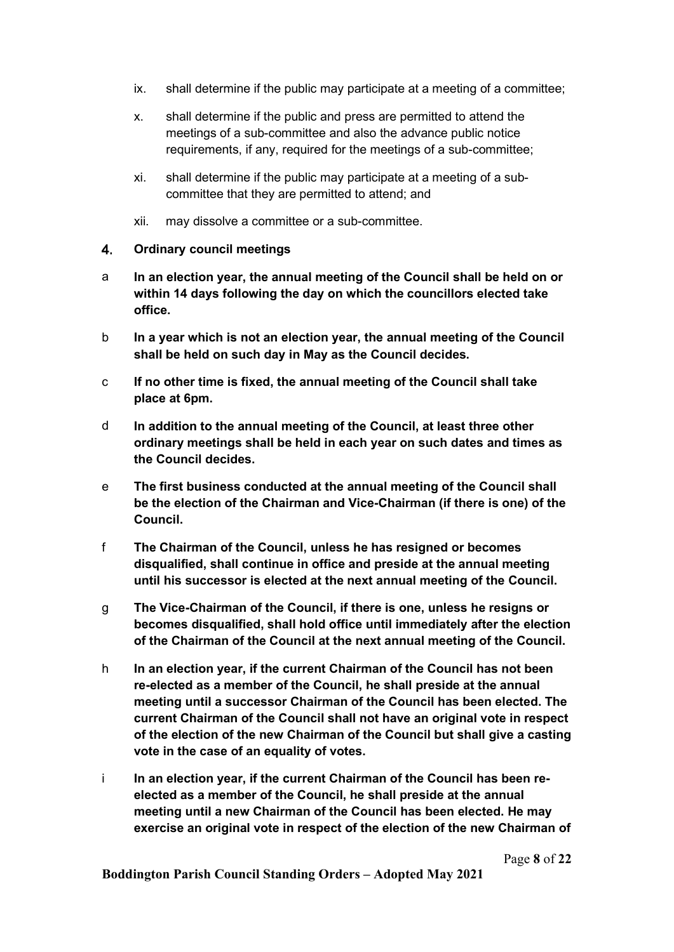- ix. shall determine if the public may participate at a meeting of a committee;
- x. shall determine if the public and press are permitted to attend the meetings of a sub-committee and also the advance public notice requirements, if any, required for the meetings of a sub-committee;
- xi. shall determine if the public may participate at a meeting of a subcommittee that they are permitted to attend; and
- xii. may dissolve a committee or a sub-committee.

#### Ordinary council meetings

- a In an election year, the annual meeting of the Council shall be held on or within 14 days following the day on which the councillors elected take office.
- b In a year which is not an election year, the annual meeting of the Council shall be held on such day in May as the Council decides.
- c If no other time is fixed, the annual meeting of the Council shall take place at 6pm.
- d In addition to the annual meeting of the Council, at least three other ordinary meetings shall be held in each year on such dates and times as the Council decides.
- e The first business conducted at the annual meeting of the Council shall be the election of the Chairman and Vice-Chairman (if there is one) of the Council.
- f The Chairman of the Council, unless he has resigned or becomes disqualified, shall continue in office and preside at the annual meeting until his successor is elected at the next annual meeting of the Council.
- g The Vice-Chairman of the Council, if there is one, unless he resigns or becomes disqualified, shall hold office until immediately after the election of the Chairman of the Council at the next annual meeting of the Council.
- h In an election year, if the current Chairman of the Council has not been re-elected as a member of the Council, he shall preside at the annual meeting until a successor Chairman of the Council has been elected. The current Chairman of the Council shall not have an original vote in respect of the election of the new Chairman of the Council but shall give a casting vote in the case of an equality of votes.
- i In an election year, if the current Chairman of the Council has been reelected as a member of the Council, he shall preside at the annual meeting until a new Chairman of the Council has been elected. He may exercise an original vote in respect of the election of the new Chairman of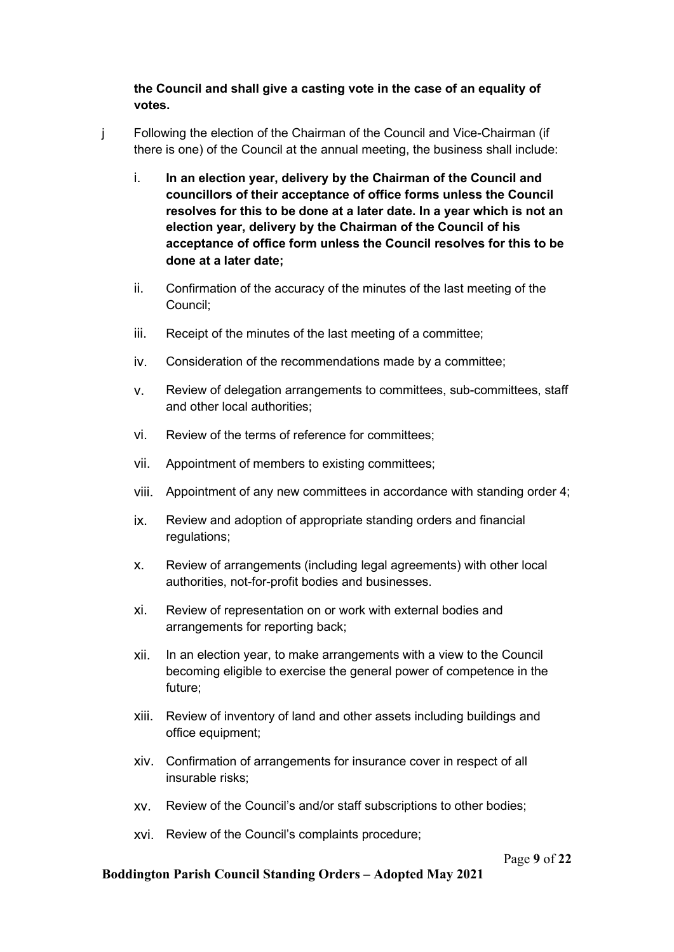## the Council and shall give a casting vote in the case of an equality of votes.

- j Following the election of the Chairman of the Council and Vice-Chairman (if there is one) of the Council at the annual meeting, the business shall include:
	- i. In an election year, delivery by the Chairman of the Council and councillors of their acceptance of office forms unless the Council resolves for this to be done at a later date. In a year which is not an election year, delivery by the Chairman of the Council of his acceptance of office form unless the Council resolves for this to be done at a later date;
	- ii. Confirmation of the accuracy of the minutes of the last meeting of the Council;
	- iii. Receipt of the minutes of the last meeting of a committee;
	- iv. Consideration of the recommendations made by a committee;
	- v. Review of delegation arrangements to committees, sub-committees, staff and other local authorities;
	- vi. Review of the terms of reference for committees;
	- vii. Appointment of members to existing committees;
	- viii. Appointment of any new committees in accordance with standing order 4;
	- ix. Review and adoption of appropriate standing orders and financial regulations;
	- x. Review of arrangements (including legal agreements) with other local authorities, not-for-profit bodies and businesses.
	- xi. Review of representation on or work with external bodies and arrangements for reporting back;
	- xii. In an election year, to make arrangements with a view to the Council becoming eligible to exercise the general power of competence in the future;
	- xiii. Review of inventory of land and other assets including buildings and office equipment;
	- xiv. Confirmation of arrangements for insurance cover in respect of all insurable risks;
	- xv. Review of the Council's and/or staff subscriptions to other bodies;
	- xvi. Review of the Council's complaints procedure;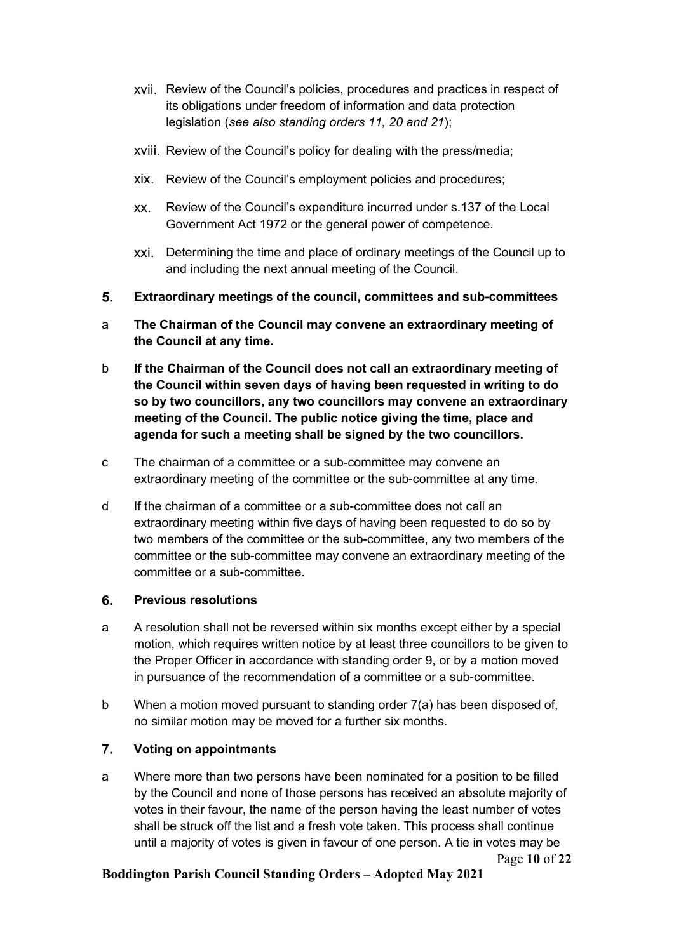- xvii. Review of the Council's policies, procedures and practices in respect of its obligations under freedom of information and data protection legislation (see also standing orders 11, 20 and 21);
- xviii. Review of the Council's policy for dealing with the press/media;
- xix. Review of the Council's employment policies and procedures;
- xx. Review of the Council's expenditure incurred under s.137 of the Local Government Act 1972 or the general power of competence.
- xxi. Determining the time and place of ordinary meetings of the Council up to and including the next annual meeting of the Council.
- Extraordinary meetings of the council, committees and sub-committees
- a The Chairman of the Council may convene an extraordinary meeting of the Council at any time.
- b If the Chairman of the Council does not call an extraordinary meeting of the Council within seven days of having been requested in writing to do so by two councillors, any two councillors may convene an extraordinary meeting of the Council. The public notice giving the time, place and agenda for such a meeting shall be signed by the two councillors.
- c The chairman of a committee or a sub-committee may convene an extraordinary meeting of the committee or the sub-committee at any time.
- d If the chairman of a committee or a sub-committee does not call an extraordinary meeting within five days of having been requested to do so by two members of the committee or the sub-committee, any two members of the committee or the sub-committee may convene an extraordinary meeting of the committee or a sub-committee.

#### Previous resolutions

- a A resolution shall not be reversed within six months except either by a special motion, which requires written notice by at least three councillors to be given to the Proper Officer in accordance with standing order 9, or by a motion moved in pursuance of the recommendation of a committee or a sub-committee.
- b When a motion moved pursuant to standing order 7(a) has been disposed of, no similar motion may be moved for a further six months.

## Voting on appointments

Page 10 of 22 a Where more than two persons have been nominated for a position to be filled by the Council and none of those persons has received an absolute majority of votes in their favour, the name of the person having the least number of votes shall be struck off the list and a fresh vote taken. This process shall continue until a majority of votes is given in favour of one person. A tie in votes may be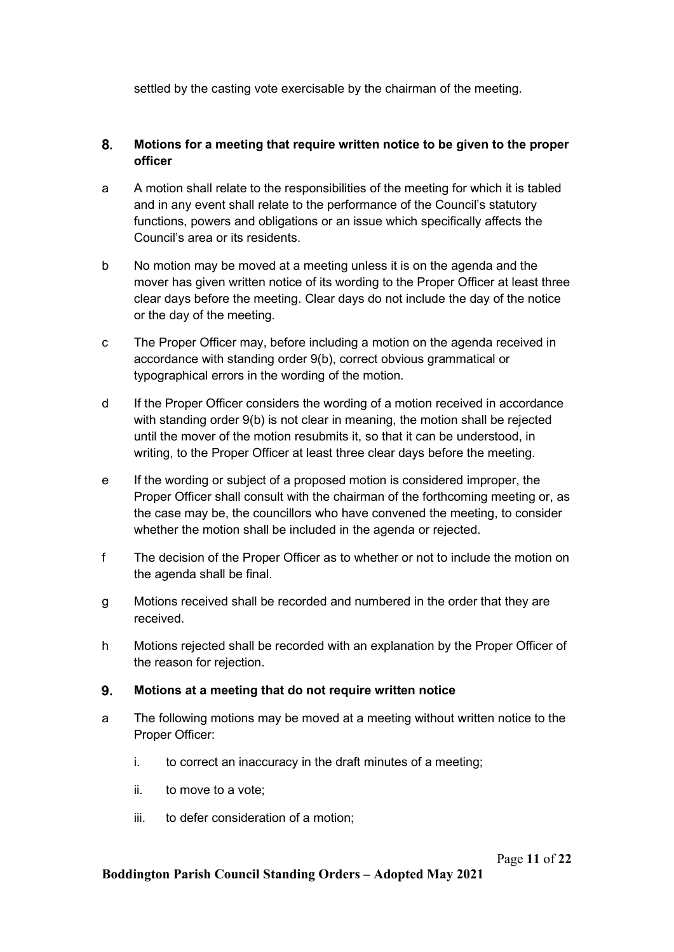settled by the casting vote exercisable by the chairman of the meeting.

## Motions for a meeting that require written notice to be given to the proper officer

- a A motion shall relate to the responsibilities of the meeting for which it is tabled and in any event shall relate to the performance of the Council's statutory functions, powers and obligations or an issue which specifically affects the Council's area or its residents.
- b No motion may be moved at a meeting unless it is on the agenda and the mover has given written notice of its wording to the Proper Officer at least three clear days before the meeting. Clear days do not include the day of the notice or the day of the meeting.
- c The Proper Officer may, before including a motion on the agenda received in accordance with standing order 9(b), correct obvious grammatical or typographical errors in the wording of the motion.
- d If the Proper Officer considers the wording of a motion received in accordance with standing order 9(b) is not clear in meaning, the motion shall be rejected until the mover of the motion resubmits it, so that it can be understood, in writing, to the Proper Officer at least three clear days before the meeting.
- e If the wording or subject of a proposed motion is considered improper, the Proper Officer shall consult with the chairman of the forthcoming meeting or, as the case may be, the councillors who have convened the meeting, to consider whether the motion shall be included in the agenda or rejected.
- f The decision of the Proper Officer as to whether or not to include the motion on the agenda shall be final.
- g Motions received shall be recorded and numbered in the order that they are received.
- h Motions rejected shall be recorded with an explanation by the Proper Officer of the reason for rejection.

#### 9. Motions at a meeting that do not require written notice

- a The following motions may be moved at a meeting without written notice to the Proper Officer:
	- i. to correct an inaccuracy in the draft minutes of a meeting;
	- ii. to move to a vote;
	- iii. to defer consideration of a motion;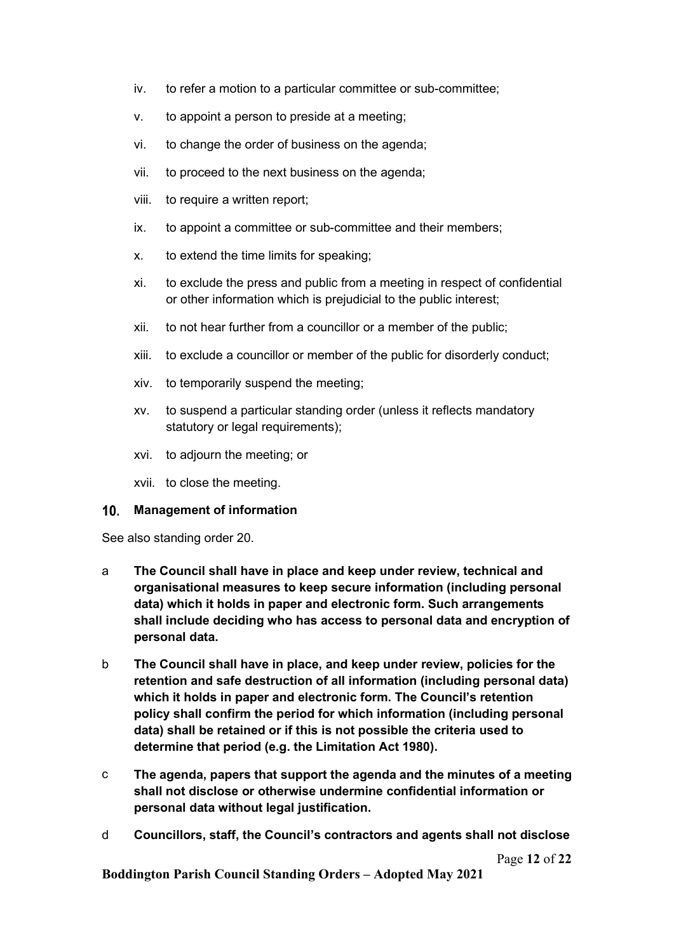- iv. to refer a motion to a particular committee or sub-committee;
- v. to appoint a person to preside at a meeting;
- vi. to change the order of business on the agenda;
- vii. to proceed to the next business on the agenda;
- viii. to require a written report;
- ix. to appoint a committee or sub-committee and their members;
- x. to extend the time limits for speaking;
- xi. to exclude the press and public from a meeting in respect of confidential or other information which is prejudicial to the public interest;
- xii. to not hear further from a councillor or a member of the public;
- xiii. to exclude a councillor or member of the public for disorderly conduct;
- xiv. to temporarily suspend the meeting;
- xv. to suspend a particular standing order (unless it reflects mandatory statutory or legal requirements);
- xvi. to adjourn the meeting; or
- xvii. to close the meeting.

#### 10. Management of information

See also standing order 20.

- a The Council shall have in place and keep under review, technical and organisational measures to keep secure information (including personal data) which it holds in paper and electronic form. Such arrangements shall include deciding who has access to personal data and encryption of personal data.
- b The Council shall have in place, and keep under review, policies for the retention and safe destruction of all information (including personal data) which it holds in paper and electronic form. The Council's retention policy shall confirm the period for which information (including personal data) shall be retained or if this is not possible the criteria used to determine that period (e.g. the Limitation Act 1980).
- c The agenda, papers that support the agenda and the minutes of a meeting shall not disclose or otherwise undermine confidential information or personal data without legal justification.
- d Councillors, staff, the Council's contractors and agents shall not disclose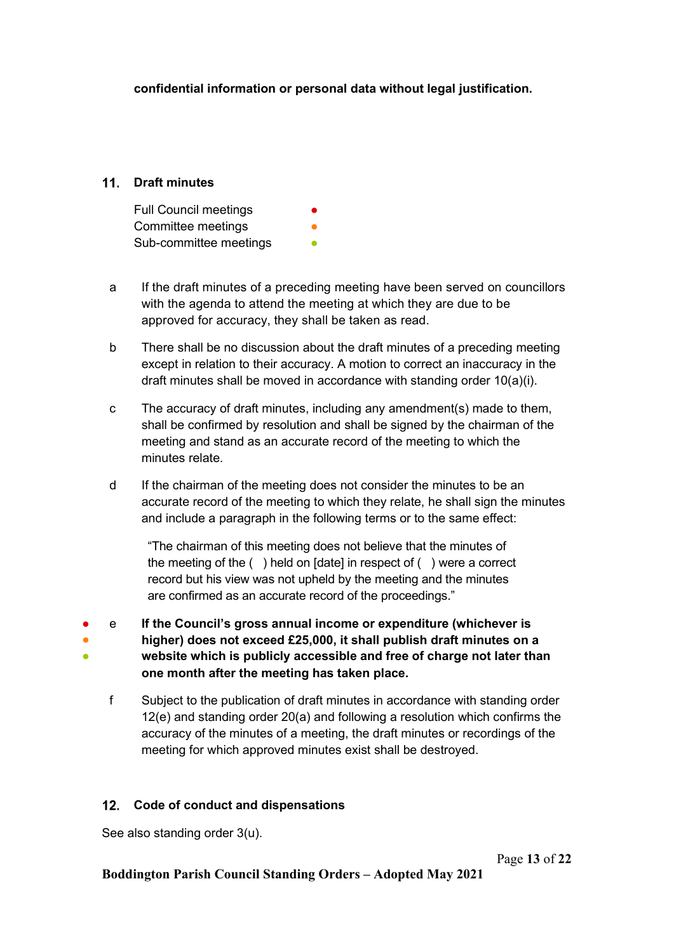confidential information or personal data without legal justification.

## 11 Draft minutes

Full Council meetings Committee meetings Sub-committee meetings

- a If the draft minutes of a preceding meeting have been served on councillors with the agenda to attend the meeting at which they are due to be approved for accuracy, they shall be taken as read.
- b There shall be no discussion about the draft minutes of a preceding meeting except in relation to their accuracy. A motion to correct an inaccuracy in the draft minutes shall be moved in accordance with standing order 10(a)(i).
- c The accuracy of draft minutes, including any amendment(s) made to them, shall be confirmed by resolution and shall be signed by the chairman of the meeting and stand as an accurate record of the meeting to which the minutes relate.
- d If the chairman of the meeting does not consider the minutes to be an accurate record of the meeting to which they relate, he shall sign the minutes and include a paragraph in the following terms or to the same effect:

"The chairman of this meeting does not believe that the minutes of the meeting of the ( ) held on [date] in respect of ( ) were a correct record but his view was not upheld by the meeting and the minutes are confirmed as an accurate record of the proceedings."

- ● ● e If the Council's gross annual income or expenditure (whichever is higher) does not exceed £25,000, it shall publish draft minutes on a website which is publicly accessible and free of charge not later than one month after the meeting has taken place.
	- f Subject to the publication of draft minutes in accordance with standing order 12(e) and standing order 20(a) and following a resolution which confirms the accuracy of the minutes of a meeting, the draft minutes or recordings of the meeting for which approved minutes exist shall be destroyed.

## 12. Code of conduct and dispensations

See also standing order 3(u).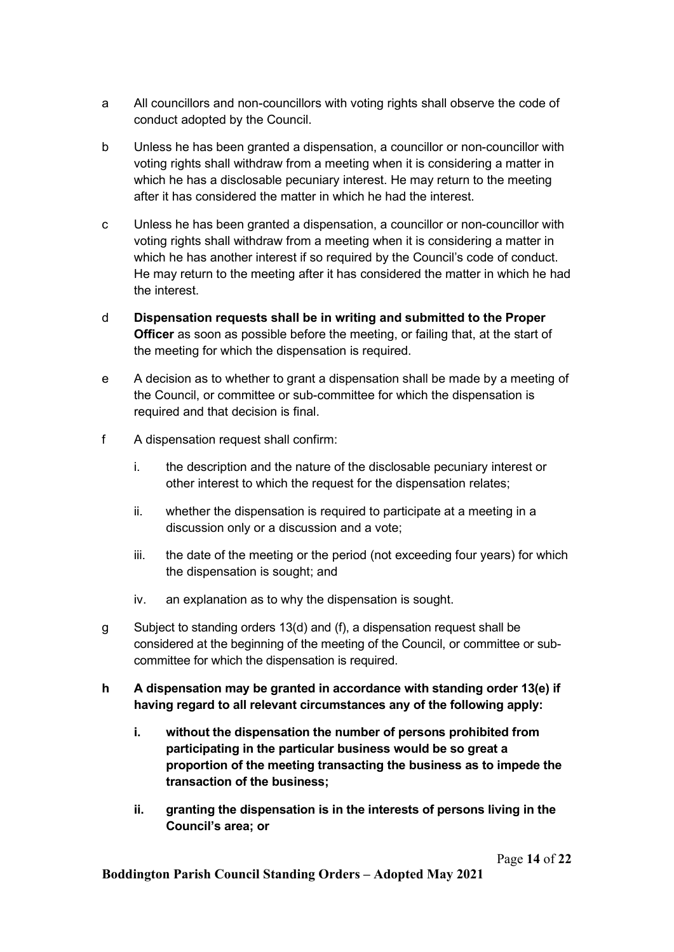- a All councillors and non-councillors with voting rights shall observe the code of conduct adopted by the Council.
- b Unless he has been granted a dispensation, a councillor or non-councillor with voting rights shall withdraw from a meeting when it is considering a matter in which he has a disclosable pecuniary interest. He may return to the meeting after it has considered the matter in which he had the interest.
- c Unless he has been granted a dispensation, a councillor or non-councillor with voting rights shall withdraw from a meeting when it is considering a matter in which he has another interest if so required by the Council's code of conduct. He may return to the meeting after it has considered the matter in which he had the interest.
- d Dispensation requests shall be in writing and submitted to the Proper **Officer** as soon as possible before the meeting, or failing that, at the start of the meeting for which the dispensation is required.
- e A decision as to whether to grant a dispensation shall be made by a meeting of the Council, or committee or sub-committee for which the dispensation is required and that decision is final.
- f A dispensation request shall confirm:
	- i. the description and the nature of the disclosable pecuniary interest or other interest to which the request for the dispensation relates;
	- ii. whether the dispensation is required to participate at a meeting in a discussion only or a discussion and a vote;
	- iii. the date of the meeting or the period (not exceeding four years) for which the dispensation is sought; and
	- iv. an explanation as to why the dispensation is sought.
- g Subject to standing orders 13(d) and (f), a dispensation request shall be considered at the beginning of the meeting of the Council, or committee or subcommittee for which the dispensation is required.
- h A dispensation may be granted in accordance with standing order 13(e) if having regard to all relevant circumstances any of the following apply:
	- i. without the dispensation the number of persons prohibited from participating in the particular business would be so great a proportion of the meeting transacting the business as to impede the transaction of the business;
	- ii. granting the dispensation is in the interests of persons living in the Council's area; or

Page 14 of 22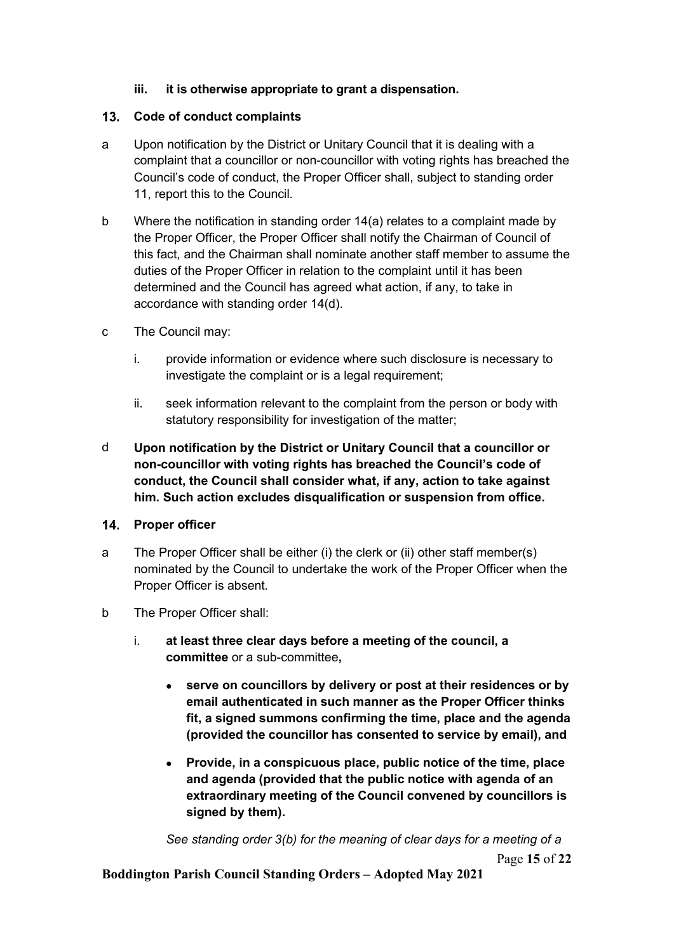### iii. it is otherwise appropriate to grant a dispensation.

### 13. Code of conduct complaints

- a Upon notification by the District or Unitary Council that it is dealing with a complaint that a councillor or non-councillor with voting rights has breached the Council's code of conduct, the Proper Officer shall, subject to standing order 11, report this to the Council.
- b Where the notification in standing order 14(a) relates to a complaint made by the Proper Officer, the Proper Officer shall notify the Chairman of Council of this fact, and the Chairman shall nominate another staff member to assume the duties of the Proper Officer in relation to the complaint until it has been determined and the Council has agreed what action, if any, to take in accordance with standing order 14(d).
- c The Council may:
	- i. provide information or evidence where such disclosure is necessary to investigate the complaint or is a legal requirement;
	- ii. seek information relevant to the complaint from the person or body with statutory responsibility for investigation of the matter;
- d Upon notification by the District or Unitary Council that a councillor or non-councillor with voting rights has breached the Council's code of conduct, the Council shall consider what, if any, action to take against him. Such action excludes disqualification or suspension from office.

#### 14. Proper officer

- a The Proper Officer shall be either (i) the clerk or (ii) other staff member(s) nominated by the Council to undertake the work of the Proper Officer when the Proper Officer is absent.
- b The Proper Officer shall:
	- i. at least three clear days before a meeting of the council, a committee or a sub-committee,
		- serve on councillors by delivery or post at their residences or by email authenticated in such manner as the Proper Officer thinks fit, a signed summons confirming the time, place and the agenda (provided the councillor has consented to service by email), and
		- Provide, in a conspicuous place, public notice of the time, place and agenda (provided that the public notice with agenda of an extraordinary meeting of the Council convened by councillors is signed by them).

Page 15 of 22 See standing order 3(b) for the meaning of clear days for a meeting of a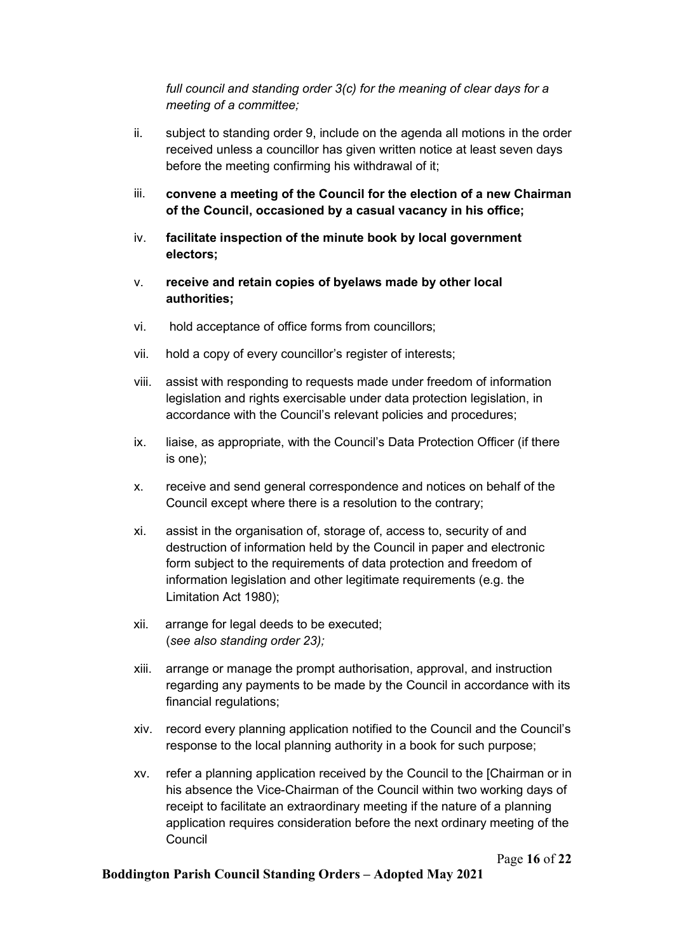full council and standing order 3(c) for the meaning of clear days for a meeting of a committee;

- ii. subject to standing order 9, include on the agenda all motions in the order received unless a councillor has given written notice at least seven days before the meeting confirming his withdrawal of it;
- iii. convene a meeting of the Council for the election of a new Chairman of the Council, occasioned by a casual vacancy in his office;
- iv. facilitate inspection of the minute book by local government electors;
- v. receive and retain copies of byelaws made by other local authorities;
- vi. hold acceptance of office forms from councillors;
- vii. hold a copy of every councillor's register of interests;
- viii. assist with responding to requests made under freedom of information legislation and rights exercisable under data protection legislation, in accordance with the Council's relevant policies and procedures;
- ix. liaise, as appropriate, with the Council's Data Protection Officer (if there is one);
- x. receive and send general correspondence and notices on behalf of the Council except where there is a resolution to the contrary;
- xi. assist in the organisation of, storage of, access to, security of and destruction of information held by the Council in paper and electronic form subject to the requirements of data protection and freedom of information legislation and other legitimate requirements (e.g. the Limitation Act 1980);
- xii. arrange for legal deeds to be executed; (see also standing order 23);
- xiii. arrange or manage the prompt authorisation, approval, and instruction regarding any payments to be made by the Council in accordance with its financial regulations;
- xiv. record every planning application notified to the Council and the Council's response to the local planning authority in a book for such purpose;
- xv. refer a planning application received by the Council to the [Chairman or in his absence the Vice-Chairman of the Council within two working days of receipt to facilitate an extraordinary meeting if the nature of a planning application requires consideration before the next ordinary meeting of the Council

Page 16 of 22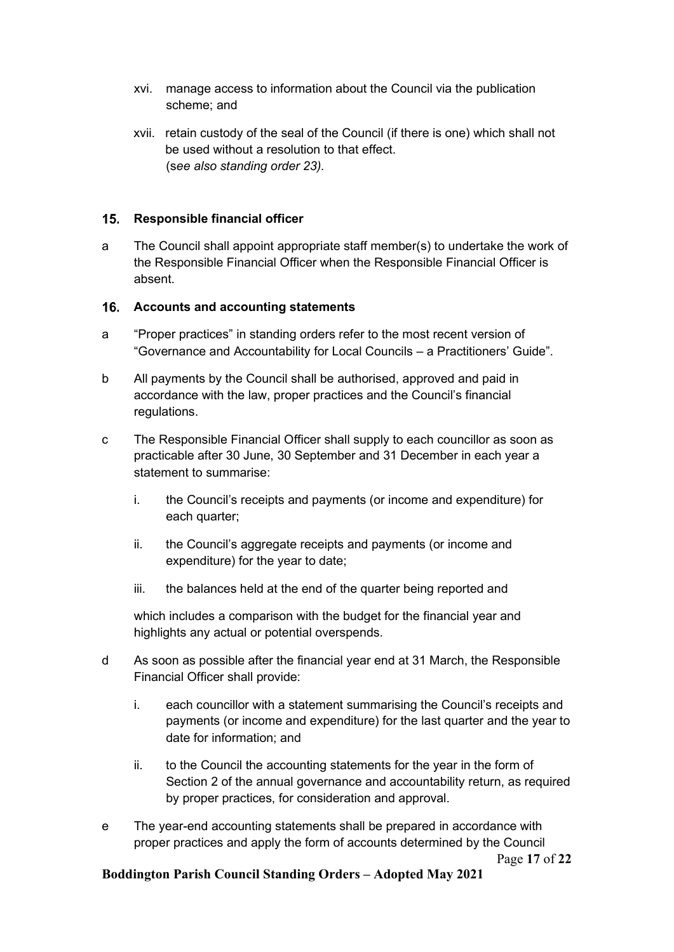- xvi. manage access to information about the Council via the publication scheme; and
- xvii. retain custody of the seal of the Council (if there is one) which shall not be used without a resolution to that effect. (see also standing order 23).

#### 15. Responsible financial officer

a The Council shall appoint appropriate staff member(s) to undertake the work of the Responsible Financial Officer when the Responsible Financial Officer is absent.

#### 16. Accounts and accounting statements

- a "Proper practices" in standing orders refer to the most recent version of "Governance and Accountability for Local Councils – a Practitioners' Guide".
- b All payments by the Council shall be authorised, approved and paid in accordance with the law, proper practices and the Council's financial regulations.
- c The Responsible Financial Officer shall supply to each councillor as soon as practicable after 30 June, 30 September and 31 December in each year a statement to summarise:
	- i. the Council's receipts and payments (or income and expenditure) for each quarter:
	- ii. the Council's aggregate receipts and payments (or income and expenditure) for the year to date;
	- iii. the balances held at the end of the quarter being reported and

which includes a comparison with the budget for the financial year and highlights any actual or potential overspends.

- d As soon as possible after the financial year end at 31 March, the Responsible Financial Officer shall provide:
	- i. each councillor with a statement summarising the Council's receipts and payments (or income and expenditure) for the last quarter and the year to date for information; and
	- ii. to the Council the accounting statements for the year in the form of Section 2 of the annual governance and accountability return, as required by proper practices, for consideration and approval.
- Page 17 of 22 e The year-end accounting statements shall be prepared in accordance with proper practices and apply the form of accounts determined by the Council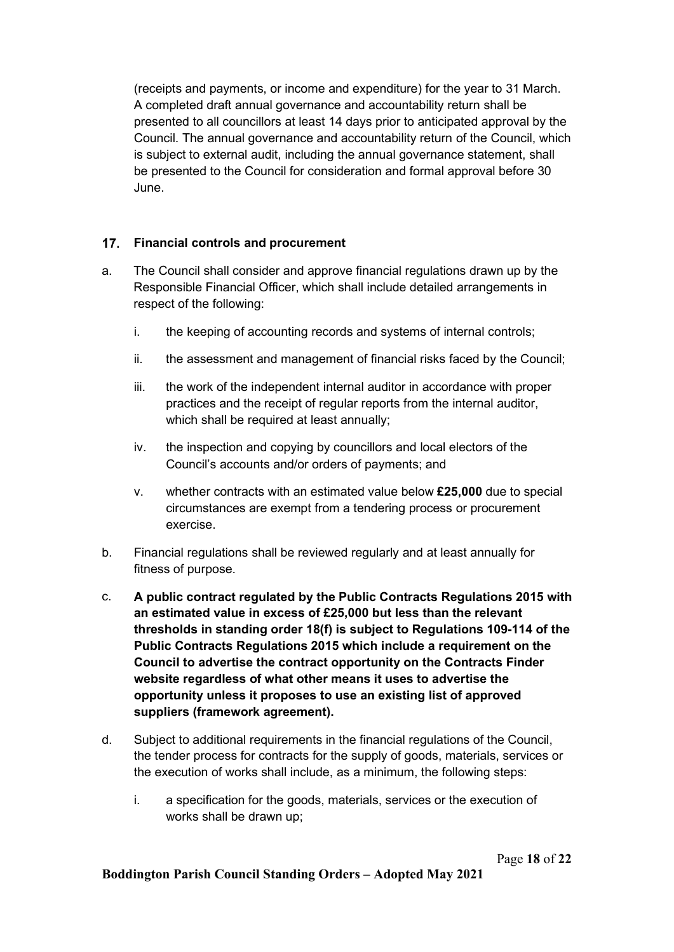(receipts and payments, or income and expenditure) for the year to 31 March. A completed draft annual governance and accountability return shall be presented to all councillors at least 14 days prior to anticipated approval by the Council. The annual governance and accountability return of the Council, which is subject to external audit, including the annual governance statement, shall be presented to the Council for consideration and formal approval before 30 June.

## 17. Financial controls and procurement

- a. The Council shall consider and approve financial regulations drawn up by the Responsible Financial Officer, which shall include detailed arrangements in respect of the following:
	- i. the keeping of accounting records and systems of internal controls;
	- ii. the assessment and management of financial risks faced by the Council;
	- iii. the work of the independent internal auditor in accordance with proper practices and the receipt of regular reports from the internal auditor, which shall be required at least annually;
	- iv. the inspection and copying by councillors and local electors of the Council's accounts and/or orders of payments; and
	- v. whether contracts with an estimated value below  $£25,000$  due to special circumstances are exempt from a tendering process or procurement exercise.
- b. Financial regulations shall be reviewed regularly and at least annually for fitness of purpose.
- c. A public contract regulated by the Public Contracts Regulations 2015 with an estimated value in excess of £25,000 but less than the relevant thresholds in standing order 18(f) is subject to Regulations 109-114 of the Public Contracts Regulations 2015 which include a requirement on the Council to advertise the contract opportunity on the Contracts Finder website regardless of what other means it uses to advertise the opportunity unless it proposes to use an existing list of approved suppliers (framework agreement).
- d. Subject to additional requirements in the financial regulations of the Council, the tender process for contracts for the supply of goods, materials, services or the execution of works shall include, as a minimum, the following steps:
	- i. a specification for the goods, materials, services or the execution of works shall be drawn up;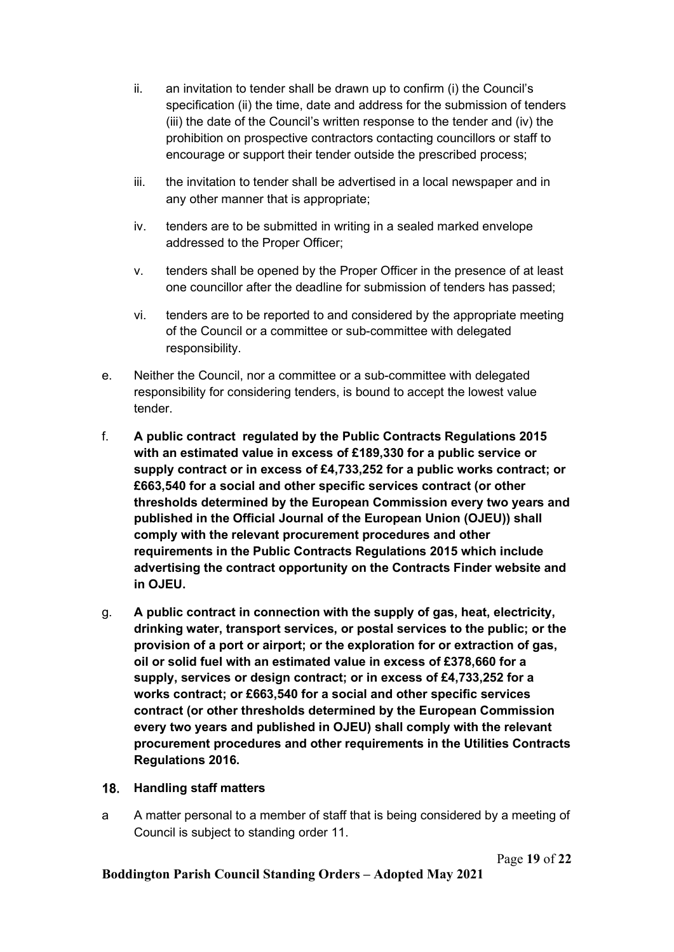- ii. an invitation to tender shall be drawn up to confirm (i) the Council's specification (ii) the time, date and address for the submission of tenders (iii) the date of the Council's written response to the tender and (iv) the prohibition on prospective contractors contacting councillors or staff to encourage or support their tender outside the prescribed process;
- iii. the invitation to tender shall be advertised in a local newspaper and in any other manner that is appropriate;
- iv. tenders are to be submitted in writing in a sealed marked envelope addressed to the Proper Officer;
- v. tenders shall be opened by the Proper Officer in the presence of at least one councillor after the deadline for submission of tenders has passed;
- vi. tenders are to be reported to and considered by the appropriate meeting of the Council or a committee or sub-committee with delegated responsibility.
- e. Neither the Council, nor a committee or a sub-committee with delegated responsibility for considering tenders, is bound to accept the lowest value tender.
- f. A public contract regulated by the Public Contracts Regulations 2015 with an estimated value in excess of £189,330 for a public service or supply contract or in excess of £4,733,252 for a public works contract; or £663,540 for a social and other specific services contract (or other thresholds determined by the European Commission every two years and published in the Official Journal of the European Union (OJEU)) shall comply with the relevant procurement procedures and other requirements in the Public Contracts Regulations 2015 which include advertising the contract opportunity on the Contracts Finder website and in OJEU.
- g. A public contract in connection with the supply of gas, heat, electricity, drinking water, transport services, or postal services to the public; or the provision of a port or airport; or the exploration for or extraction of gas, oil or solid fuel with an estimated value in excess of £378,660 for a supply, services or design contract; or in excess of £4,733,252 for a works contract; or £663,540 for a social and other specific services contract (or other thresholds determined by the European Commission every two years and published in OJEU) shall comply with the relevant procurement procedures and other requirements in the Utilities Contracts Regulations 2016.

#### 18. Handling staff matters

a A matter personal to a member of staff that is being considered by a meeting of Council is subject to standing order 11.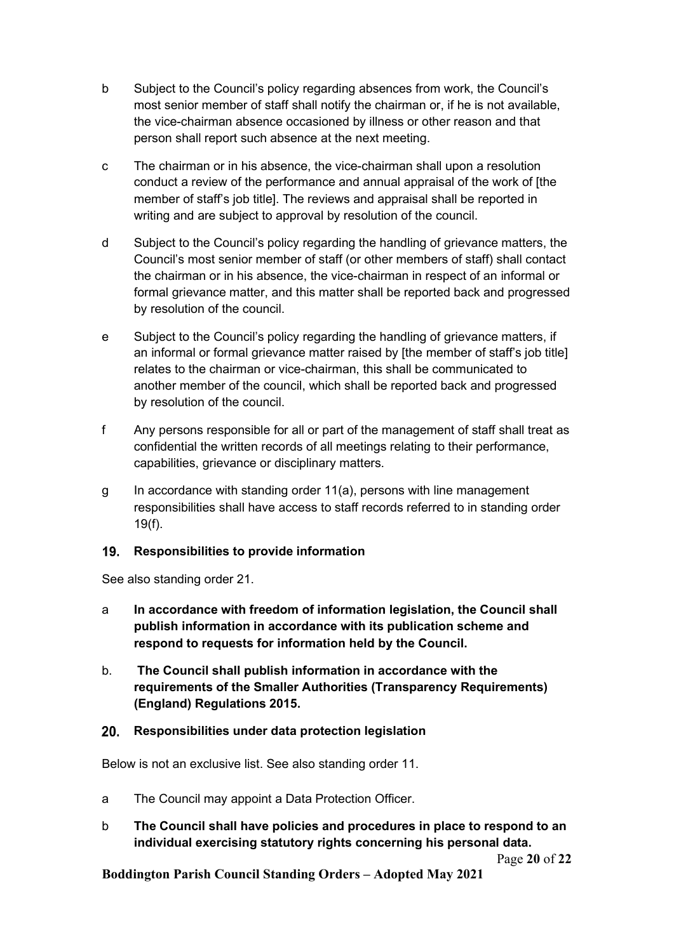- b Subject to the Council's policy regarding absences from work, the Council's most senior member of staff shall notify the chairman or, if he is not available, the vice-chairman absence occasioned by illness or other reason and that person shall report such absence at the next meeting.
- c The chairman or in his absence, the vice-chairman shall upon a resolution conduct a review of the performance and annual appraisal of the work of [the member of staff's job title]. The reviews and appraisal shall be reported in writing and are subject to approval by resolution of the council.
- d Subject to the Council's policy regarding the handling of grievance matters, the Council's most senior member of staff (or other members of staff) shall contact the chairman or in his absence, the vice-chairman in respect of an informal or formal grievance matter, and this matter shall be reported back and progressed by resolution of the council.
- e Subject to the Council's policy regarding the handling of grievance matters, if an informal or formal grievance matter raised by [the member of staff's job title] relates to the chairman or vice-chairman, this shall be communicated to another member of the council, which shall be reported back and progressed by resolution of the council.
- f Any persons responsible for all or part of the management of staff shall treat as confidential the written records of all meetings relating to their performance, capabilities, grievance or disciplinary matters.
- g In accordance with standing order 11(a), persons with line management responsibilities shall have access to staff records referred to in standing order 19(f).

## 19. Responsibilities to provide information

See also standing order 21.

- a In accordance with freedom of information legislation, the Council shall publish information in accordance with its publication scheme and respond to requests for information held by the Council.
- b. The Council shall publish information in accordance with the requirements of the Smaller Authorities (Transparency Requirements) (England) Regulations 2015.

#### 20. Responsibilities under data protection legislation

Below is not an exclusive list. See also standing order 11.

- a The Council may appoint a Data Protection Officer.
- b The Council shall have policies and procedures in place to respond to an individual exercising statutory rights concerning his personal data.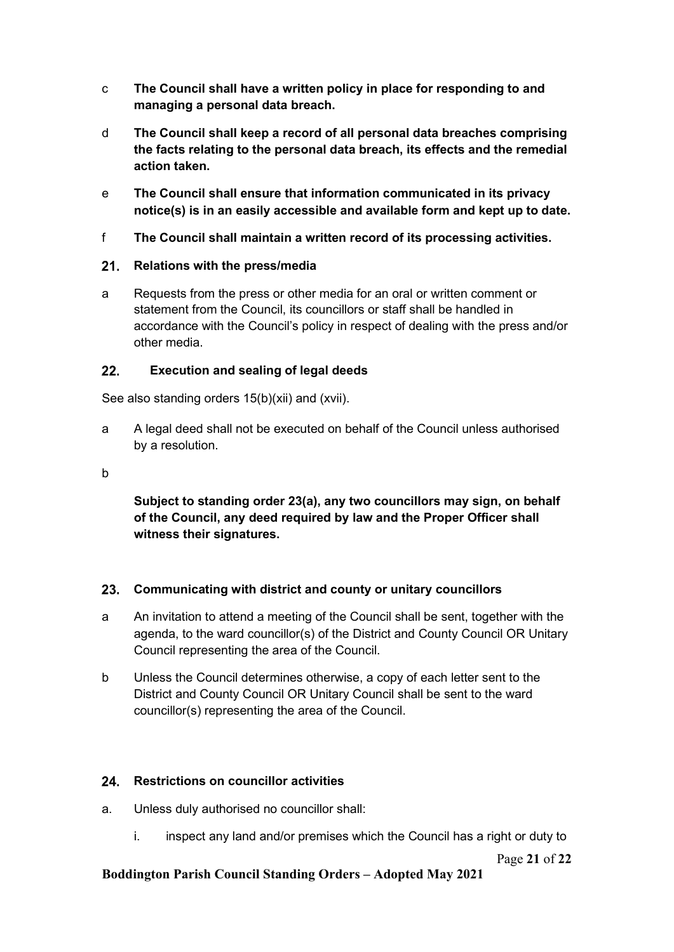- c The Council shall have a written policy in place for responding to and managing a personal data breach.
- d The Council shall keep a record of all personal data breaches comprising the facts relating to the personal data breach, its effects and the remedial action taken.
- e The Council shall ensure that information communicated in its privacy notice(s) is in an easily accessible and available form and kept up to date.
- f The Council shall maintain a written record of its processing activities.

# 21. Relations with the press/media

a Requests from the press or other media for an oral or written comment or statement from the Council, its councillors or staff shall be handled in accordance with the Council's policy in respect of dealing with the press and/or other media.

# 22. Execution and sealing of legal deeds

See also standing orders 15(b)(xii) and (xvii).

a A legal deed shall not be executed on behalf of the Council unless authorised by a resolution.

b

Subject to standing order 23(a), any two councillors may sign, on behalf of the Council, any deed required by law and the Proper Officer shall witness their signatures.

# 23. Communicating with district and county or unitary councillors

- a An invitation to attend a meeting of the Council shall be sent, together with the agenda, to the ward councillor(s) of the District and County Council OR Unitary Council representing the area of the Council.
- b Unless the Council determines otherwise, a copy of each letter sent to the District and County Council OR Unitary Council shall be sent to the ward councillor(s) representing the area of the Council.

## 24. Restrictions on councillor activities

- a. Unless duly authorised no councillor shall:
	- i. inspect any land and/or premises which the Council has a right or duty to